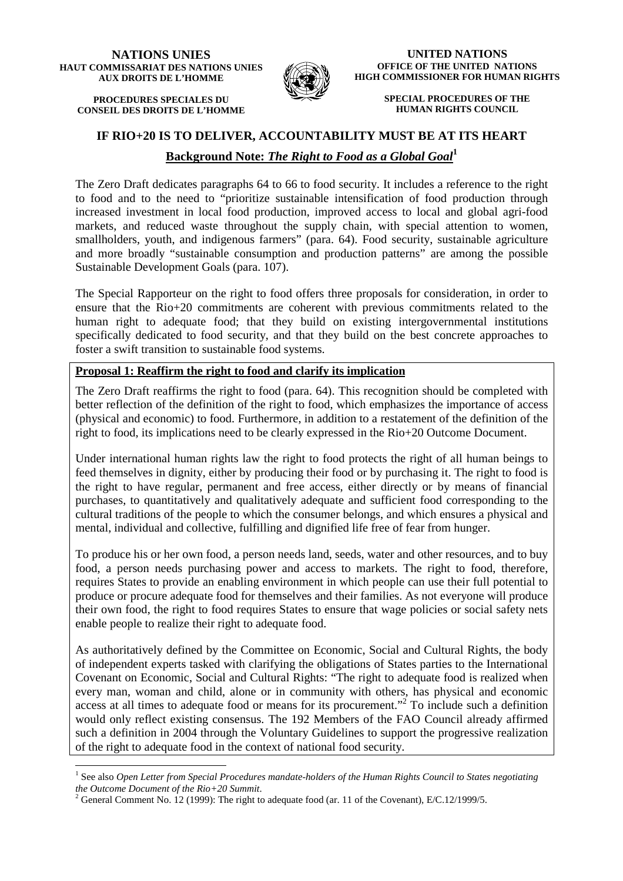#### **NATIONS UNIES HAUT COMMISSARIAT DES NATIONS UNIES AUX DROITS DE L'HOMME**

**PROCEDURES SPECIALES DU CONSEIL DES DROITS DE L'HOMME**



**UNITED NATIONS OFFICE OF THE UNITED NATIONS HIGH COMMISSIONER FOR HUMAN RIGHTS** 

> **SPECIAL PROCEDURES OF THE HUMAN RIGHTS COUNCIL**

## **IF RIO+20 IS TO DELIVER, ACCOUNTABILITY MUST BE AT ITS HEART**

# **Background Note:** *The Right to Food as a Global Goal***<sup>1</sup>**

The Zero Draft dedicates paragraphs 64 to 66 to food security. It includes a reference to the right to food and to the need to "prioritize sustainable intensification of food production through increased investment in local food production, improved access to local and global agri-food markets, and reduced waste throughout the supply chain, with special attention to women, smallholders, youth, and indigenous farmers" (para. 64). Food security, sustainable agriculture and more broadly "sustainable consumption and production patterns" are among the possible Sustainable Development Goals (para. 107).

The Special Rapporteur on the right to food offers three proposals for consideration, in order to ensure that the Rio+20 commitments are coherent with previous commitments related to the human right to adequate food; that they build on existing intergovernmental institutions specifically dedicated to food security, and that they build on the best concrete approaches to foster a swift transition to sustainable food systems.

### **Proposal 1: Reaffirm the right to food and clarify its implication**

The Zero Draft reaffirms the right to food (para. 64). This recognition should be completed with better reflection of the definition of the right to food, which emphasizes the importance of access (physical and economic) to food. Furthermore, in addition to a restatement of the definition of the right to food, its implications need to be clearly expressed in the Rio+20 Outcome Document.

Under international human rights law the right to food protects the right of all human beings to feed themselves in dignity, either by producing their food or by purchasing it. The right to food is the right to have regular, permanent and free access, either directly or by means of financial purchases, to quantitatively and qualitatively adequate and sufficient food corresponding to the cultural traditions of the people to which the consumer belongs, and which ensures a physical and mental, individual and collective, fulfilling and dignified life free of fear from hunger.

To produce his or her own food, a person needs land, seeds, water and other resources, and to buy food, a person needs purchasing power and access to markets. The right to food, therefore, requires States to provide an enabling environment in which people can use their full potential to produce or procure adequate food for themselves and their families. As not everyone will produce their own food, the right to food requires States to ensure that wage policies or social safety nets enable people to realize their right to adequate food.

As authoritatively defined by the Committee on Economic, Social and Cultural Rights, the body of independent experts tasked with clarifying the obligations of States parties to the International Covenant on Economic, Social and Cultural Rights: "The right to adequate food is realized when every man, woman and child, alone or in community with others, has physical and economic access at all times to adequate food or means for its procurement."<sup>2</sup> To include such a definition would only reflect existing consensus. The 192 Members of the FAO Council already affirmed such a definition in 2004 through the Voluntary Guidelines to support the progressive realization of the right to adequate food in the context of national food security.

 $\overline{a}$ 

<sup>&</sup>lt;sup>1</sup> See also *Open Letter from Special Procedures mandate-holders of the Human Rights Council to States negotiating the Outcome Document of the Rio+20 Summit*.

<sup>&</sup>lt;sup>2</sup> General Comment No. 12 (1999): The right to adequate food (ar. 11 of the Covenant), E/C.12/1999/5.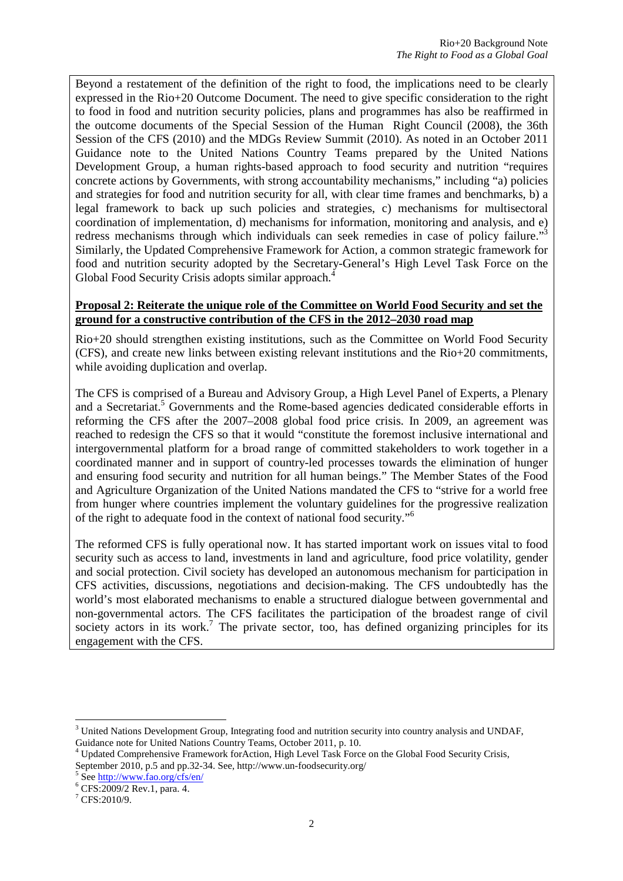Beyond a restatement of the definition of the right to food, the implications need to be clearly expressed in the Rio+20 Outcome Document. The need to give specific consideration to the right to food in food and nutrition security policies, plans and programmes has also be reaffirmed in the outcome documents of the Special Session of the Human Right Council (2008), the 36th Session of the CFS (2010) and the MDGs Review Summit (2010). As noted in an October 2011 Guidance note to the United Nations Country Teams prepared by the United Nations Development Group, a human rights-based approach to food security and nutrition "requires concrete actions by Governments, with strong accountability mechanisms," including "a) policies and strategies for food and nutrition security for all, with clear time frames and benchmarks, b) a legal framework to back up such policies and strategies, c) mechanisms for multisectoral coordination of implementation, d) mechanisms for information, monitoring and analysis, and e) redress mechanisms through which individuals can seek remedies in case of policy failure."<sup>3</sup> Similarly, the Updated Comprehensive Framework for Action, a common strategic framework for food and nutrition security adopted by the Secretary-General's High Level Task Force on the Global Food Security Crisis adopts similar approach.<sup>4</sup>

#### **Proposal 2: Reiterate the unique role of the Committee on World Food Security and set the ground for a constructive contribution of the CFS in the 2012–2030 road map**

Rio+20 should strengthen existing institutions, such as the Committee on World Food Security (CFS), and create new links between existing relevant institutions and the Rio+20 commitments, while avoiding duplication and overlap.

The CFS is comprised of a Bureau and Advisory Group, a High Level Panel of Experts, a Plenary and a Secretariat.<sup>5</sup> Governments and the Rome-based agencies dedicated considerable efforts in reforming the CFS after the 2007–2008 global food price crisis. In 2009, an agreement was reached to redesign the CFS so that it would "constitute the foremost inclusive international and intergovernmental platform for a broad range of committed stakeholders to work together in a coordinated manner and in support of country-led processes towards the elimination of hunger and ensuring food security and nutrition for all human beings." The Member States of the Food and Agriculture Organization of the United Nations mandated the CFS to "strive for a world free from hunger where countries implement the voluntary guidelines for the progressive realization of the right to adequate food in the context of national food security."<sup>6</sup>

The reformed CFS is fully operational now. It has started important work on issues vital to food security such as access to land, investments in land and agriculture, food price volatility, gender and social protection. Civil society has developed an autonomous mechanism for participation in CFS activities, discussions, negotiations and decision-making. The CFS undoubtedly has the world's most elaborated mechanisms to enable a structured dialogue between governmental and non-governmental actors. The CFS facilitates the participation of the broadest range of civil society actors in its work.<sup>7</sup> The private sector, too, has defined organizing principles for its engagement with the CFS.

l

<sup>&</sup>lt;sup>3</sup> United Nations Development Group, Integrating food and nutrition security into country analysis and UNDAF, Guidance note for United Nations Country Teams, October 2011, p. 10.

<sup>4</sup> Updated Comprehensive Framework forAction, High Level Task Force on the Global Food Security Crisis, September 2010, p.5 and pp.32-34. See, http://www.un-foodsecurity.org/

<sup>&</sup>lt;sup>5</sup> See http://www.fao.org/cfs/en/

<sup>6</sup> CFS:2009/2 Rev.1, para. 4.

 $7$  CFS:2010/9.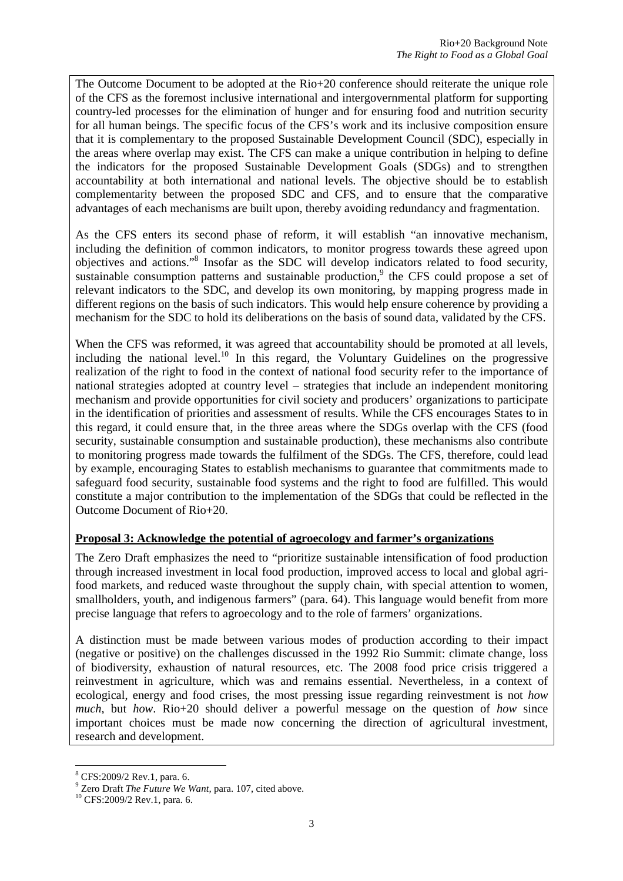The Outcome Document to be adopted at the Rio+20 conference should reiterate the unique role of the CFS as the foremost inclusive international and intergovernmental platform for supporting country-led processes for the elimination of hunger and for ensuring food and nutrition security for all human beings. The specific focus of the CFS's work and its inclusive composition ensure that it is complementary to the proposed Sustainable Development Council (SDC), especially in the areas where overlap may exist. The CFS can make a unique contribution in helping to define the indicators for the proposed Sustainable Development Goals (SDGs) and to strengthen accountability at both international and national levels. The objective should be to establish complementarity between the proposed SDC and CFS, and to ensure that the comparative advantages of each mechanisms are built upon, thereby avoiding redundancy and fragmentation.

As the CFS enters its second phase of reform, it will establish "an innovative mechanism, including the definition of common indicators, to monitor progress towards these agreed upon objectives and actions."<sup>8</sup> Insofar as the SDC will develop indicators related to food security, sustainable consumption patterns and sustainable production, $9$  the CFS could propose a set of relevant indicators to the SDC, and develop its own monitoring, by mapping progress made in different regions on the basis of such indicators. This would help ensure coherence by providing a mechanism for the SDC to hold its deliberations on the basis of sound data, validated by the CFS.

When the CFS was reformed, it was agreed that accountability should be promoted at all levels, including the national level.<sup>10</sup> In this regard, the Voluntary Guidelines on the progressive realization of the right to food in the context of national food security refer to the importance of national strategies adopted at country level – strategies that include an independent monitoring mechanism and provide opportunities for civil society and producers' organizations to participate in the identification of priorities and assessment of results. While the CFS encourages States to in this regard, it could ensure that, in the three areas where the SDGs overlap with the CFS (food security, sustainable consumption and sustainable production), these mechanisms also contribute to monitoring progress made towards the fulfilment of the SDGs. The CFS, therefore, could lead by example, encouraging States to establish mechanisms to guarantee that commitments made to safeguard food security, sustainable food systems and the right to food are fulfilled. This would constitute a major contribution to the implementation of the SDGs that could be reflected in the Outcome Document of Rio+20.

### **Proposal 3: Acknowledge the potential of agroecology and farmer's organizations**

The Zero Draft emphasizes the need to "prioritize sustainable intensification of food production through increased investment in local food production, improved access to local and global agrifood markets, and reduced waste throughout the supply chain, with special attention to women, smallholders, youth, and indigenous farmers" (para. 64). This language would benefit from more precise language that refers to agroecology and to the role of farmers' organizations.

A distinction must be made between various modes of production according to their impact (negative or positive) on the challenges discussed in the 1992 Rio Summit: climate change, loss of biodiversity, exhaustion of natural resources, etc. The 2008 food price crisis triggered a reinvestment in agriculture, which was and remains essential. Nevertheless, in a context of ecological, energy and food crises, the most pressing issue regarding reinvestment is not *how much*, but *how*. Rio+20 should deliver a powerful message on the question of *how* since important choices must be made now concerning the direction of agricultural investment, research and development.

 $\overline{a}$ 

<sup>8</sup> CFS:2009/2 Rev.1, para. 6.

<sup>9</sup> Zero Draft *The Future We Want,* para. 107, cited above.

<sup>10</sup> CFS:2009/2 Rev.1, para. 6.